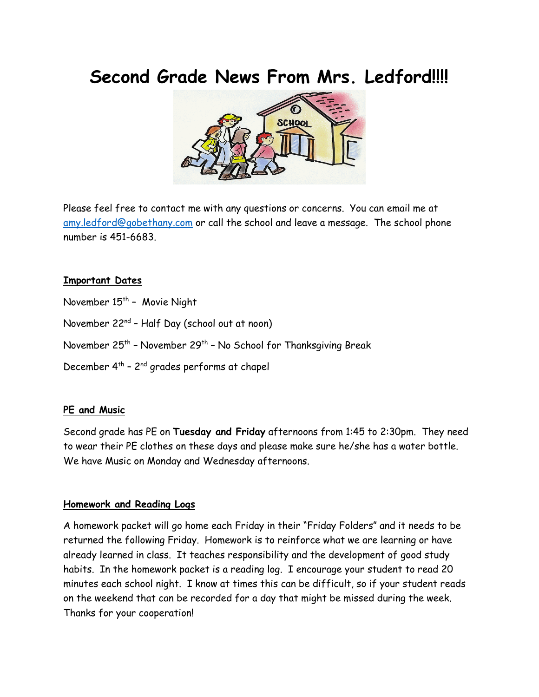# **Second Grade News From Mrs. Ledford!!!!**



Please feel free to conta[ct m](https://creativecommons.org/licenses/by-nd/3.0/)e with any questions or concerns. You can email me at [amy.ledford@gobethany.com](mailto:amy.ledford@gobethany.com) or call the school and leave a message. The school phone number is 451-6683.

#### **Important Dates**

November 15<sup>th</sup> - Movie Night

November 22nd – Half Day (school out at noon)

November 25<sup>th</sup> - November 29<sup>th</sup> - No School for Thanksgiving Break

December  $4^{th}$  -  $2^{nd}$  grades performs at chapel

#### **PE and Music**

Second grade has PE on **Tuesday and Friday** afternoons from 1:45 to 2:30pm. They need to wear their PE clothes on these days and please make sure he/she has a water bottle. We have Music on Monday and Wednesday afternoons.

#### **Homework and Reading Logs**

A homework packet will go home each Friday in their "Friday Folders" and it needs to be returned the following Friday. Homework is to reinforce what we are learning or have already learned in class. It teaches responsibility and the development of good study habits. In the homework packet is a reading log. I encourage your student to read 20 minutes each school night. I know at times this can be difficult, so if your student reads on the weekend that can be recorded for a day that might be missed during the week. Thanks for your cooperation!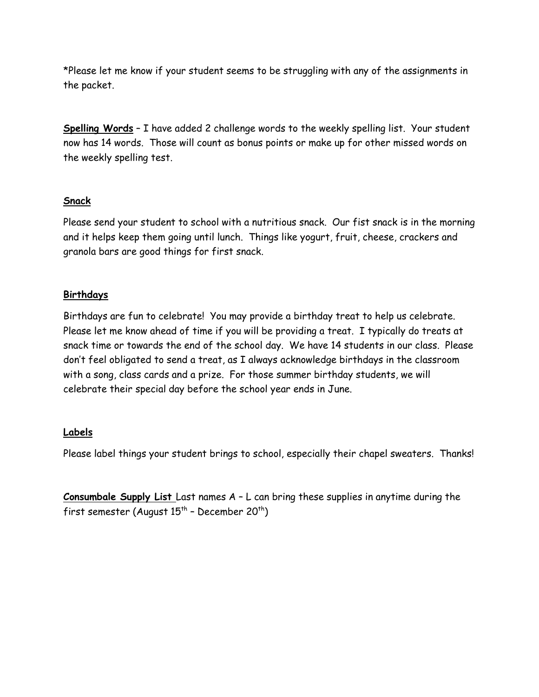\*Please let me know if your student seems to be struggling with any of the assignments in the packet.

**Spelling Words** – I have added 2 challenge words to the weekly spelling list. Your student now has 14 words. Those will count as bonus points or make up for other missed words on the weekly spelling test.

### **Snack**

Please send your student to school with a nutritious snack. Our fist snack is in the morning and it helps keep them going until lunch. Things like yogurt, fruit, cheese, crackers and granola bars are good things for first snack.

## **Birthdays**

Birthdays are fun to celebrate! You may provide a birthday treat to help us celebrate. Please let me know ahead of time if you will be providing a treat. I typically do treats at snack time or towards the end of the school day. We have 14 students in our class. Please don't feel obligated to send a treat, as I always acknowledge birthdays in the classroom with a song, class cards and a prize. For those summer birthday students, we will celebrate their special day before the school year ends in June.

#### **Labels**

Please label things your student brings to school, especially their chapel sweaters. Thanks!

**Consumbale Supply List** Last names A – L can bring these supplies in anytime during the first semester (August  $15<sup>th</sup>$  - December 20<sup>th</sup>)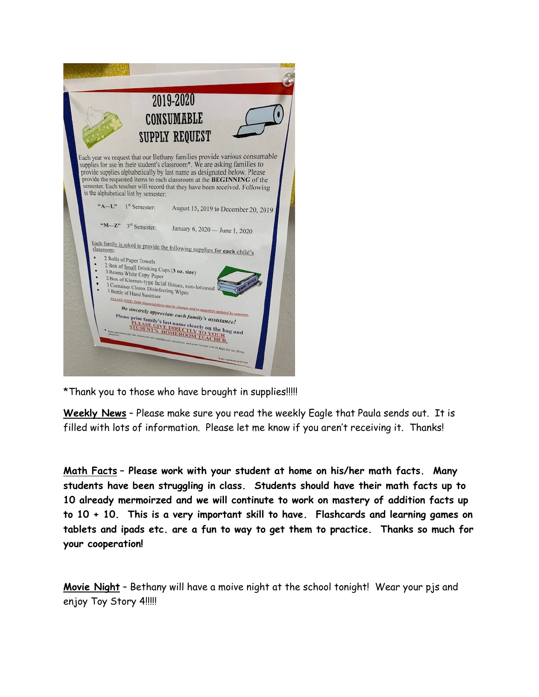

\*Thank you to those who have brought in supplies!!!!!

**Weekly News** – Please make sure you read the weekly Eagle that Paula sends out. It is filled with lots of information. Please let me know if you aren't receiving it. Thanks!

**Math Facts – Please work with your student at home on his/her math facts. Many students have been struggling in class. Students should have their math facts up to 10 already mermoirzed and we will continute to work on mastery of addition facts up to 10 + 10. This is a very important skill to have. Flashcards and learning games on tablets and ipads etc. are a fun to way to get them to practice. Thanks so much for your cooperation!**

**Movie Night** – Bethany will have a moive night at the school tonight! Wear your pjs and enjoy Toy Story 4!!!!!